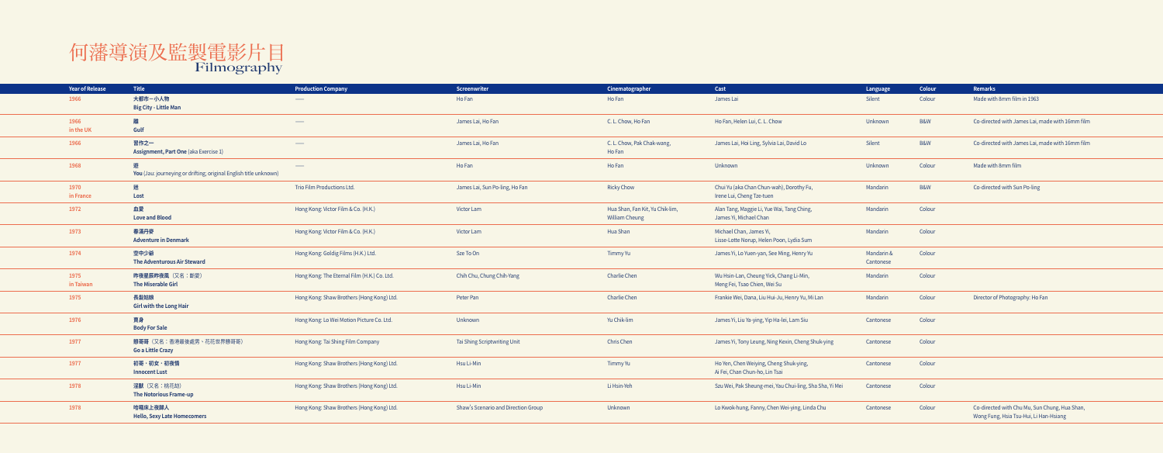## 何藩導演及監製電影片目 Filmography

| <b>Year of Release</b> | <b>Title</b>                                                           | <b>Production Company</b>                   | Screenwriter                        | Cinematographer                                          | Cast                                                                     | Language                | Colour         | Remarks                                                                                 |
|------------------------|------------------------------------------------------------------------|---------------------------------------------|-------------------------------------|----------------------------------------------------------|--------------------------------------------------------------------------|-------------------------|----------------|-----------------------------------------------------------------------------------------|
| 1966                   | 大都市一小人物<br><b>Big City - Little Man</b>                                | $\overline{\phantom{a}}$                    | Ho Fan                              | Ho Fan                                                   | James Lai                                                                | Silent                  | Colour         | Made with 8mm film in 1963                                                              |
| 1966<br>in the UK      | 離<br>Gulf                                                              | $\overline{\phantom{a}}$                    | James Lai, Ho Fan                   | C. L. Chow, Ho Fan                                       | Ho Fan, Helen Lui, C. L. Chow                                            | Unknown                 | <b>B&amp;W</b> | Co-directed with James Lai, made with 16mm film                                         |
| 1966                   | 習作之一<br>Assignment, Part One (aka Exercise 1)                          | $\overline{\phantom{a}}$                    | James Lai, Ho Fan                   | C. L. Chow, Pak Chak-wang,<br>Ho Fan                     | James Lai, Hoi Ling, Sylvia Lai, David Lo                                | Silent                  | B&W            | Co-directed with James Lai, made with 16mm film                                         |
| 1968                   | 遊<br>You (Jau: journeying or drifting; original English title unknown) | $\overline{\phantom{a}}$                    | Ho Fan                              | Ho Fan                                                   | Unknown                                                                  | Unknown                 | Colour         | Made with 8mm film                                                                      |
| 1970<br>in France      | 迷<br>Lost                                                              | Trio Film Productions Ltd.                  | James Lai, Sun Po-ling, Ho Fan      | <b>Ricky Chow</b>                                        | Chui Yu (aka Chan Chun-wah), Dorothy Fu,<br>Irene Lui, Cheng Tze-tuen    | Mandarin                | B&W            | Co-directed with Sun Po-ling                                                            |
| 1972                   | 血愛<br><b>Love and Blood</b>                                            | Hong Kong: Victor Film & Co. (H.K.)         | Victor Lam                          | Hua Shan, Fan Kit, Yu Chik-lim,<br><b>William Cheung</b> | Alan Tang, Maggie Li, Yue Wai, Tang Ching,<br>James Yi, Michael Chan     | Mandarin                | Colour         |                                                                                         |
| 1973                   | 春滿丹麥<br><b>Adventure in Denmark</b>                                    | Hong Kong: Victor Film & Co. (H.K.)         | Victor Lam                          | Hua Shan                                                 | Michael Chan, James Yi,<br>Lisse-Lotte Norup, Helen Poon, Lydia Sum      | Mandarin                | Colour         |                                                                                         |
| 1974                   | 空中少爺<br><b>The Adventurous Air Steward</b>                             | Hong Kong: Goldig Films (H.K.) Ltd.         | Sze To On                           | Timmy Yu                                                 | James Yi, Lo Yuen-yan, See Ming, Henry Yu                                | Mandarin &<br>Cantonese | Colour         |                                                                                         |
| 1975<br>in Taiwan      | 昨夜星辰昨夜風 (又名:斷愛)<br><b>The Miserable Girl</b>                           | Hong Kong: The Eternal Film (H.K.) Co. Ltd. | Chih Chu, Chung Chih-Yang           | <b>Charlie Chen</b>                                      | Wu Hsin-Lan, Cheung Yick, Chang Li-Min,<br>Meng Fei, Tsao Chien, Wei Su  | Mandarin                | Colour         |                                                                                         |
| 1975                   | 長髮姑娘<br><b>Girl with the Long Hair</b>                                 | Hong Kong: Shaw Brothers (Hong Kong) Ltd.   | Peter Pan                           | Charlie Chen                                             | Frankie Wei, Dana, Liu Hui-Ju, Henry Yu, Mi Lan                          | Mandarin                | Colour         | Director of Photography: Ho Fan                                                         |
| 1976                   | 賣身<br><b>Body For Sale</b>                                             | Hong Kong: Lo Wei Motion Picture Co. Ltd.   | Unknown                             | Yu Chik-lim                                              | James Yi, Liu Ya-ying, Yip Ha-lei, Lam Siu                               | Cantonese               | Colour         |                                                                                         |
| 1977                   | 戇哥哥 (又名:香港最後處男、花花世界戇哥哥)<br><b>Go a Little Crazy</b>                    | Hong Kong: Tai Shing Film Company           | Tai Shing Scriptwriting Unit        | Chris Chen                                               | James Yi, Tony Leung, Ning Kexin, Cheng Shuk-ying                        | Cantonese               | Colour         |                                                                                         |
| 1977                   | 初哥・初女・初夜情<br><b>Innocent Lust</b>                                      | Hong Kong: Shaw Brothers (Hong Kong) Ltd.   | Hsu Li-Min                          | Timmy Yu                                                 | Ho Yen, Chen Weiying, Cheng Shuk-ying,<br>Ai Fei, Chan Chun-ho, Lin Tsai | Cantonese               | Colour         |                                                                                         |
| 1978                   | 淫獸 (又名:桃花劫)<br><b>The Notorious Frame-up</b>                           | Hong Kong: Shaw Brothers (Hong Kong) Ltd.   | Hsu Li-Min                          | Li Hsin-Yeh                                              | Szu Wei, Pak Sheung-mei, Yau Chui-ling, Sha Sha, Yi Mei                  | Cantonese               | Colour         |                                                                                         |
| 1978                   | 哈囉床上夜歸人<br><b>Hello, Sexy Late Homecomers</b>                          | Hong Kong: Shaw Brothers (Hong Kong) Ltd.   | Shaw's Scenario and Direction Group | Unknown                                                  | Lo Kwok-hung, Fanny, Chen Wei-ying, Linda Chu                            | Cantonese               | Colour         | Co-directed with Chu Mu, Sun Chung, Hua Shan,<br>Wong Fung, Hsia Tsu-Hui, Li Han-Hsiang |